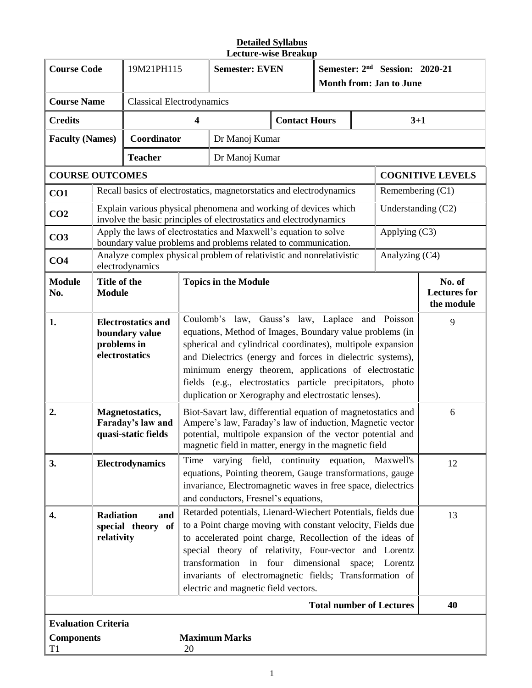| <b>Course Code</b>         |                                                                                                                                                                                                                                                                                                                                                                                                                                                                         | 19M21PH115                                                  |                                  | <b>Semester: EVEN</b><br>Month from: Jan to June                                                                                                                                                                                                                                                                                                                                                                        |                      | Semester: 2 <sup>nd</sup> Session: 2020-21 |    |                                             |                         |
|----------------------------|-------------------------------------------------------------------------------------------------------------------------------------------------------------------------------------------------------------------------------------------------------------------------------------------------------------------------------------------------------------------------------------------------------------------------------------------------------------------------|-------------------------------------------------------------|----------------------------------|-------------------------------------------------------------------------------------------------------------------------------------------------------------------------------------------------------------------------------------------------------------------------------------------------------------------------------------------------------------------------------------------------------------------------|----------------------|--------------------------------------------|----|---------------------------------------------|-------------------------|
| <b>Course Name</b>         |                                                                                                                                                                                                                                                                                                                                                                                                                                                                         |                                                             | <b>Classical Electrodynamics</b> |                                                                                                                                                                                                                                                                                                                                                                                                                         |                      |                                            |    |                                             |                         |
| <b>Credits</b>             |                                                                                                                                                                                                                                                                                                                                                                                                                                                                         |                                                             | 4                                |                                                                                                                                                                                                                                                                                                                                                                                                                         | <b>Contact Hours</b> |                                            |    | $3 + 1$                                     |                         |
| <b>Faculty (Names)</b>     |                                                                                                                                                                                                                                                                                                                                                                                                                                                                         | Coordinator                                                 |                                  | Dr Manoj Kumar                                                                                                                                                                                                                                                                                                                                                                                                          |                      |                                            |    |                                             |                         |
|                            |                                                                                                                                                                                                                                                                                                                                                                                                                                                                         | <b>Teacher</b>                                              |                                  | Dr Manoj Kumar                                                                                                                                                                                                                                                                                                                                                                                                          |                      |                                            |    |                                             |                         |
| <b>COURSE OUTCOMES</b>     |                                                                                                                                                                                                                                                                                                                                                                                                                                                                         |                                                             |                                  |                                                                                                                                                                                                                                                                                                                                                                                                                         |                      |                                            |    |                                             | <b>COGNITIVE LEVELS</b> |
| CO1                        |                                                                                                                                                                                                                                                                                                                                                                                                                                                                         |                                                             |                                  | Recall basics of electrostatics, magnetorstatics and electrodynamics                                                                                                                                                                                                                                                                                                                                                    |                      |                                            |    | Remembering $(C1)$                          |                         |
| CO <sub>2</sub>            |                                                                                                                                                                                                                                                                                                                                                                                                                                                                         |                                                             |                                  | Explain various physical phenomena and working of devices which<br>involve the basic principles of electrostatics and electrodynamics                                                                                                                                                                                                                                                                                   |                      |                                            |    | Understanding (C2)                          |                         |
| CO <sub>3</sub>            |                                                                                                                                                                                                                                                                                                                                                                                                                                                                         |                                                             |                                  | Apply the laws of electrostatics and Maxwell's equation to solve<br>boundary value problems and problems related to communication.                                                                                                                                                                                                                                                                                      |                      |                                            |    | Applying (C3)                               |                         |
| CO <sub>4</sub>            |                                                                                                                                                                                                                                                                                                                                                                                                                                                                         | electrodynamics                                             |                                  | Analyze complex physical problem of relativistic and nonrelativistic                                                                                                                                                                                                                                                                                                                                                    |                      |                                            |    | Analyzing (C4)                              |                         |
| <b>Module</b><br>No.       | Title of the<br><b>Module</b>                                                                                                                                                                                                                                                                                                                                                                                                                                           |                                                             | <b>Topics in the Module</b>      |                                                                                                                                                                                                                                                                                                                                                                                                                         |                      |                                            |    | No. of<br><b>Lectures</b> for<br>the module |                         |
| 1.                         | <b>Electrostatics and</b><br>boundary value<br>problems in<br>electrostatics                                                                                                                                                                                                                                                                                                                                                                                            |                                                             |                                  | Coulomb's law, Gauss's law, Laplace and Poisson<br>equations, Method of Images, Boundary value problems (in<br>spherical and cylindrical coordinates), multipole expansion<br>and Dielectrics (energy and forces in dielectric systems),<br>minimum energy theorem, applications of electrostatic<br>fields (e.g., electrostatics particle precipitators, photo<br>duplication or Xerography and electrostatic lenses). |                      |                                            |    |                                             | 9                       |
| 2.                         |                                                                                                                                                                                                                                                                                                                                                                                                                                                                         | Magnetostatics,<br>Faraday's law and<br>quasi-static fields |                                  | Biot-Savart law, differential equation of magnetostatics and<br>Ampere's law, Faraday's law of induction, Magnetic vector<br>potential, multipole expansion of the vector potential and                                                                                                                                                                                                                                 |                      |                                            |    |                                             | 6                       |
| 3.                         | magnetic field in matter, energy in the magnetic field<br>Time varying field, continuity equation, Maxwell's<br><b>Electrodynamics</b><br>equations, Pointing theorem, Gauge transformations, gauge<br>invariance, Electromagnetic waves in free space, dielectrics<br>and conductors, Fresnel's equations,                                                                                                                                                             |                                                             |                                  |                                                                                                                                                                                                                                                                                                                                                                                                                         |                      |                                            | 12 |                                             |                         |
| 4.                         | Retarded potentials, Lienard-Wiechert Potentials, fields due<br><b>Radiation</b><br>and<br>to a Point charge moving with constant velocity, Fields due<br>special theory of<br>to accelerated point charge, Recollection of the ideas of<br>relativity<br>special theory of relativity, Four-vector and Lorentz<br>transformation in four dimensional space; Lorentz<br>invariants of electromagnetic fields; Transformation of<br>electric and magnetic field vectors. |                                                             |                                  |                                                                                                                                                                                                                                                                                                                                                                                                                         |                      | 13                                         |    |                                             |                         |
|                            |                                                                                                                                                                                                                                                                                                                                                                                                                                                                         |                                                             |                                  |                                                                                                                                                                                                                                                                                                                                                                                                                         |                      |                                            |    | <b>Total number of Lectures</b>             | 40                      |
| <b>Evaluation Criteria</b> |                                                                                                                                                                                                                                                                                                                                                                                                                                                                         |                                                             |                                  |                                                                                                                                                                                                                                                                                                                                                                                                                         |                      |                                            |    |                                             |                         |
| <b>Components</b><br>T1    |                                                                                                                                                                                                                                                                                                                                                                                                                                                                         |                                                             | 20                               | <b>Maximum Marks</b>                                                                                                                                                                                                                                                                                                                                                                                                    |                      |                                            |    |                                             |                         |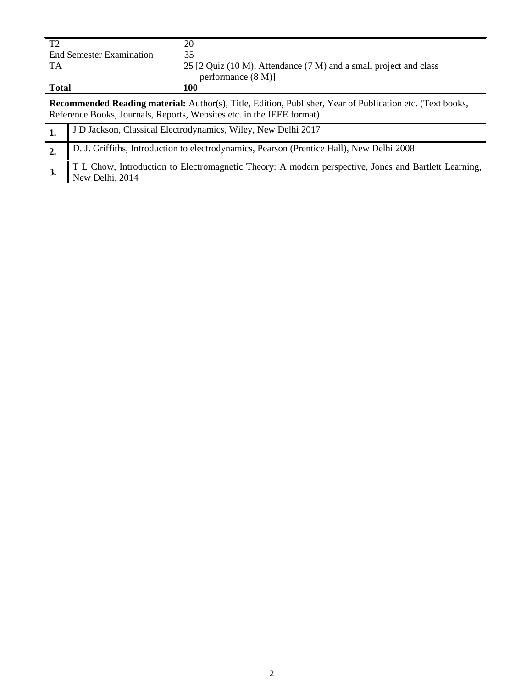| T2           |                                                                                                                                                                                           | 20                                                                                                   |  |  |  |  |  |
|--------------|-------------------------------------------------------------------------------------------------------------------------------------------------------------------------------------------|------------------------------------------------------------------------------------------------------|--|--|--|--|--|
|              | <b>End Semester Examination</b>                                                                                                                                                           | 35                                                                                                   |  |  |  |  |  |
| TA           |                                                                                                                                                                                           | 25 [2 Quiz (10 M), Attendance (7 M) and a small project and class                                    |  |  |  |  |  |
|              |                                                                                                                                                                                           | performance $(8 M)$ ]                                                                                |  |  |  |  |  |
| <b>Total</b> |                                                                                                                                                                                           | <b>100</b>                                                                                           |  |  |  |  |  |
|              | <b>Recommended Reading material:</b> Author(s), Title, Edition, Publisher, Year of Publication etc. (Text books,<br>Reference Books, Journals, Reports, Websites etc. in the IEEE format) |                                                                                                      |  |  |  |  |  |
| 1.           | J D Jackson, Classical Electrodynamics, Wiley, New Delhi 2017                                                                                                                             |                                                                                                      |  |  |  |  |  |
| 2.           | D. J. Griffiths, Introduction to electrodynamics, Pearson (Prentice Hall), New Delhi 2008                                                                                                 |                                                                                                      |  |  |  |  |  |
| 3.           |                                                                                                                                                                                           | T L Chow, Introduction to Electromagnetic Theory: A modern perspective, Jones and Bartlett Learning, |  |  |  |  |  |
|              | New Delhi, 2014                                                                                                                                                                           |                                                                                                      |  |  |  |  |  |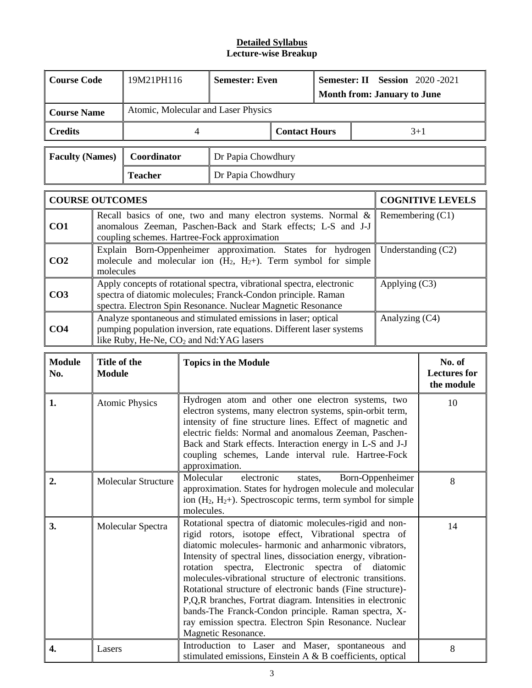| <b>Course Code</b>     | 19M21PH116                          | <b>Semester: Even</b> |                      | <b>Semester: II Session</b> 2020 -2021<br><b>Month from: January to June</b> |       |  |  |
|------------------------|-------------------------------------|-----------------------|----------------------|------------------------------------------------------------------------------|-------|--|--|
| <b>Course Name</b>     | Atomic, Molecular and Laser Physics |                       |                      |                                                                              |       |  |  |
| <b>Credits</b>         |                                     |                       | <b>Contact Hours</b> |                                                                              | $3+1$ |  |  |
| <b>Faculty (Names)</b> | Coordinator                         | Dr Papia Chowdhury    |                      |                                                                              |       |  |  |
|                        | <b>Teacher</b>                      | Dr Papia Chowdhury    |                      |                                                                              |       |  |  |

|                 | <b>COURSE OUTCOMES</b>                                                                                                                                                                                 | <b>COGNITIVE LEVELS</b> |
|-----------------|--------------------------------------------------------------------------------------------------------------------------------------------------------------------------------------------------------|-------------------------|
| CO <sub>1</sub> | Recall basics of one, two and many electron systems. Normal $\&$<br>anomalous Zeeman, Paschen-Back and Stark effects; L-S and J-J<br>coupling schemes. Hartree-Fock approximation                      | Remembering $(C1)$      |
| CO <sub>2</sub> | Explain Born-Oppenheimer approximation. States for hydrogen<br>molecule and molecular ion $(H_2, H_2+)$ . Term symbol for simple<br>molecules                                                          | Understanding $(C2)$    |
| CO <sub>3</sub> | Apply concepts of rotational spectra, vibrational spectra, electronic<br>spectra of diatomic molecules; Franck-Condon principle. Raman<br>spectra. Electron Spin Resonance. Nuclear Magnetic Resonance | Applying $(C3)$         |
| CO <sub>4</sub> | Analyze spontaneous and stimulated emissions in laser; optical<br>pumping population inversion, rate equations. Different laser systems<br>like Ruby, He-Ne, CO <sub>2</sub> and Nd:YAG lasers         | Analyzing $(C4)$        |

| <b>Module</b><br>No. | Title of the<br>Module     | <b>Topics in the Module</b>                                                                                                                                                                                                                                                                                                                                                                                                                                                                                                                                                                                                                 | No. of<br><b>Lectures for</b><br>the module |
|----------------------|----------------------------|---------------------------------------------------------------------------------------------------------------------------------------------------------------------------------------------------------------------------------------------------------------------------------------------------------------------------------------------------------------------------------------------------------------------------------------------------------------------------------------------------------------------------------------------------------------------------------------------------------------------------------------------|---------------------------------------------|
| 1.                   | <b>Atomic Physics</b>      | Hydrogen atom and other one electron systems, two<br>electron systems, many electron systems, spin-orbit term,<br>intensity of fine structure lines. Effect of magnetic and<br>electric fields: Normal and anomalous Zeeman, Paschen-<br>Back and Stark effects. Interaction energy in L-S and J-J<br>coupling schemes, Lande interval rule. Hartree-Fock<br>approximation.                                                                                                                                                                                                                                                                 | 10                                          |
| 2.                   | <b>Molecular Structure</b> | Molecular<br>electronic<br>Born-Oppenheimer<br>states,<br>approximation. States for hydrogen molecule and molecular<br>ion $(H_2, H_2)$ . Spectroscopic terms, term symbol for simple<br>molecules.                                                                                                                                                                                                                                                                                                                                                                                                                                         | 8                                           |
| 3.                   | Molecular Spectra          | Rotational spectra of diatomic molecules-rigid and non-<br>rigid rotors, isotope effect, Vibrational spectra of<br>diatomic molecules- harmonic and anharmonic vibrators,<br>Intensity of spectral lines, dissociation energy, vibration-<br>spectra, Electronic spectra<br>rotation<br>of<br>diatomic<br>molecules-vibrational structure of electronic transitions.<br>Rotational structure of electronic bands (Fine structure)-<br>P, Q, R branches, Fortrat diagram. Intensities in electronic<br>bands-The Franck-Condon principle. Raman spectra, X-<br>ray emission spectra. Electron Spin Resonance. Nuclear<br>Magnetic Resonance. | 14                                          |
| 4.                   | Lasers                     | Introduction to Laser and Maser, spontaneous and<br>stimulated emissions, Einstein A & B coefficients, optical                                                                                                                                                                                                                                                                                                                                                                                                                                                                                                                              | 8                                           |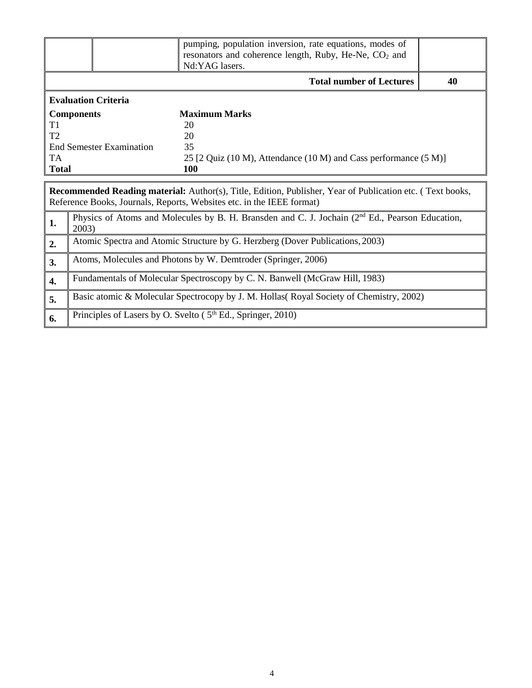|                                                                                                                                                                                           |                                       | pumping, population inversion, rate equations, modes of                                           |  |  |  |  |  |  |  |
|-------------------------------------------------------------------------------------------------------------------------------------------------------------------------------------------|---------------------------------------|---------------------------------------------------------------------------------------------------|--|--|--|--|--|--|--|
|                                                                                                                                                                                           |                                       | resonators and coherence length, Ruby, He-Ne, CO <sub>2</sub> and<br>Nd:YAG lasers.               |  |  |  |  |  |  |  |
|                                                                                                                                                                                           | <b>Total number of Lectures</b><br>40 |                                                                                                   |  |  |  |  |  |  |  |
|                                                                                                                                                                                           | <b>Evaluation Criteria</b>            |                                                                                                   |  |  |  |  |  |  |  |
|                                                                                                                                                                                           | <b>Components</b>                     | <b>Maximum Marks</b>                                                                              |  |  |  |  |  |  |  |
| T1                                                                                                                                                                                        |                                       | 20                                                                                                |  |  |  |  |  |  |  |
| T <sub>2</sub>                                                                                                                                                                            |                                       | 20                                                                                                |  |  |  |  |  |  |  |
|                                                                                                                                                                                           | <b>End Semester Examination</b>       | 35                                                                                                |  |  |  |  |  |  |  |
| TA.                                                                                                                                                                                       |                                       | 25 [2 Quiz (10 M), Attendance (10 M) and Cass performance (5 M)]                                  |  |  |  |  |  |  |  |
| <b>Total</b>                                                                                                                                                                              |                                       | 100                                                                                               |  |  |  |  |  |  |  |
| <b>Recommended Reading material:</b> Author(s), Title, Edition, Publisher, Year of Publication etc. (Text books,<br>Reference Books, Journals, Reports, Websites etc. in the IEEE format) |                                       |                                                                                                   |  |  |  |  |  |  |  |
|                                                                                                                                                                                           |                                       |                                                                                                   |  |  |  |  |  |  |  |
| 1.                                                                                                                                                                                        | 2003)                                 | Physics of Atoms and Molecules by B. H. Bransden and C. J. Jochain $(2nd Ed.,$ Pearson Education, |  |  |  |  |  |  |  |
| 2.                                                                                                                                                                                        |                                       | Atomic Spectra and Atomic Structure by G. Herzberg (Dover Publications, 2003)                     |  |  |  |  |  |  |  |
| 3.                                                                                                                                                                                        |                                       | Atoms, Molecules and Photons by W. Demtroder (Springer, 2006)                                     |  |  |  |  |  |  |  |
| 4.                                                                                                                                                                                        |                                       | Fundamentals of Molecular Spectroscopy by C. N. Banwell (McGraw Hill, 1983)                       |  |  |  |  |  |  |  |
| 5.                                                                                                                                                                                        |                                       | Basic atomic & Molecular Spectrocopy by J. M. Hollas (Royal Society of Chemistry, 2002)           |  |  |  |  |  |  |  |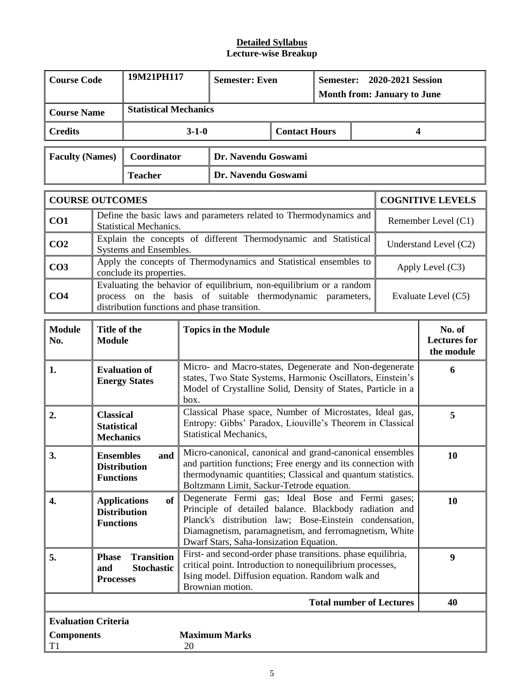| <b>Course Code</b>                              | 19M21PH117<br><b>Semester: Even</b><br>Semester:<br>2020-2021 Session<br><b>Month from: January to June</b>                                                                                                                                                                                                                                                                                           |                               |             |                                                                                                                                                                                               |                      |                                             |                     |                                 |                         |
|-------------------------------------------------|-------------------------------------------------------------------------------------------------------------------------------------------------------------------------------------------------------------------------------------------------------------------------------------------------------------------------------------------------------------------------------------------------------|-------------------------------|-------------|-----------------------------------------------------------------------------------------------------------------------------------------------------------------------------------------------|----------------------|---------------------------------------------|---------------------|---------------------------------|-------------------------|
| <b>Course Name</b>                              |                                                                                                                                                                                                                                                                                                                                                                                                       | <b>Statistical Mechanics</b>  |             |                                                                                                                                                                                               |                      |                                             |                     |                                 |                         |
| <b>Credits</b>                                  |                                                                                                                                                                                                                                                                                                                                                                                                       |                               | $3 - 1 - 0$ |                                                                                                                                                                                               | <b>Contact Hours</b> |                                             |                     | 4                               |                         |
| <b>Faculty (Names)</b>                          |                                                                                                                                                                                                                                                                                                                                                                                                       | Coordinator                   |             | Dr. Navendu Goswami                                                                                                                                                                           |                      |                                             |                     |                                 |                         |
|                                                 |                                                                                                                                                                                                                                                                                                                                                                                                       | <b>Teacher</b>                |             | Dr. Navendu Goswami                                                                                                                                                                           |                      |                                             |                     |                                 |                         |
| <b>COURSE OUTCOMES</b>                          |                                                                                                                                                                                                                                                                                                                                                                                                       |                               |             |                                                                                                                                                                                               |                      |                                             |                     |                                 | <b>COGNITIVE LEVELS</b> |
| CO <sub>1</sub>                                 |                                                                                                                                                                                                                                                                                                                                                                                                       | <b>Statistical Mechanics.</b> |             | Define the basic laws and parameters related to Thermodynamics and                                                                                                                            |                      |                                             |                     |                                 | Remember Level (C1)     |
| CO <sub>2</sub>                                 |                                                                                                                                                                                                                                                                                                                                                                                                       | Systems and Ensembles.        |             | Explain the concepts of different Thermodynamic and Statistical                                                                                                                               |                      |                                             |                     |                                 | Understand Level (C2)   |
| CO <sub>3</sub>                                 |                                                                                                                                                                                                                                                                                                                                                                                                       | conclude its properties.      |             | Apply the concepts of Thermodynamics and Statistical ensembles to                                                                                                                             |                      |                                             |                     |                                 | Apply Level $(C3)$      |
| CO <sub>4</sub>                                 | Evaluating the behavior of equilibrium, non-equilibrium or a random<br>process on the basis of suitable thermodynamic parameters,<br>distribution functions and phase transition.                                                                                                                                                                                                                     |                               |             |                                                                                                                                                                                               |                      |                                             | Evaluate Level (C5) |                                 |                         |
| <b>Module</b><br>No.                            | Title of the<br><b>Topics in the Module</b><br><b>Module</b>                                                                                                                                                                                                                                                                                                                                          |                               |             |                                                                                                                                                                                               |                      | No. of<br><b>Lectures for</b><br>the module |                     |                                 |                         |
| 1.                                              | <b>Evaluation of</b><br><b>Energy States</b>                                                                                                                                                                                                                                                                                                                                                          |                               |             | Micro- and Macro-states, Degenerate and Non-degenerate<br>states, Two State Systems, Harmonic Oscillators, Einstein's<br>Model of Crystalline Solid, Density of States, Particle in a<br>box. |                      |                                             |                     |                                 | 6                       |
| 2.                                              | <b>Classical</b><br><b>Statistical</b><br><b>Mechanics</b>                                                                                                                                                                                                                                                                                                                                            |                               |             | Classical Phase space, Number of Microstates, Ideal gas,<br>Entropy: Gibbs' Paradox, Liouville's Theorem in Classical<br>Statistical Mechanics,                                               |                      |                                             |                     |                                 | 5                       |
| 3.                                              | <b>Ensembles</b><br><b>Distribution</b><br><b>Functions</b>                                                                                                                                                                                                                                                                                                                                           | and                           |             | Micro-canonical, canonical and grand-canonical ensembles<br>and partition functions; Free energy and its connection with<br>thermodynamic quantities; Classical and quantum statistics.       |                      |                                             |                     |                                 | 10                      |
| 4.                                              | Boltzmann Limit, Sackur-Tetrode equation.<br>Degenerate Fermi gas; Ideal Bose and Fermi gases;<br>of<br>10<br><b>Applications</b><br>Principle of detailed balance. Blackbody radiation and<br><b>Distribution</b><br>Planck's distribution law; Bose-Einstein condensation,<br><b>Functions</b><br>Diamagnetism, paramagnetism, and ferromagnetism, White<br>Dwarf Stars, Saha-Ionsization Equation. |                               |             |                                                                                                                                                                                               |                      |                                             |                     |                                 |                         |
| 5.                                              | First- and second-order phase transitions. phase equilibria,<br><b>Transition</b><br><b>Phase</b><br>critical point. Introduction to nonequilibrium processes,<br><b>Stochastic</b><br>and<br>Ising model. Diffusion equation. Random walk and<br><b>Processes</b><br>Brownian motion.                                                                                                                |                               |             |                                                                                                                                                                                               |                      |                                             | 9                   |                                 |                         |
|                                                 |                                                                                                                                                                                                                                                                                                                                                                                                       |                               |             |                                                                                                                                                                                               |                      |                                             |                     | <b>Total number of Lectures</b> | 40                      |
| <b>Evaluation Criteria</b><br><b>Components</b> |                                                                                                                                                                                                                                                                                                                                                                                                       |                               |             | <b>Maximum Marks</b>                                                                                                                                                                          |                      |                                             |                     |                                 |                         |
| T1                                              |                                                                                                                                                                                                                                                                                                                                                                                                       |                               | 20          |                                                                                                                                                                                               |                      |                                             |                     |                                 |                         |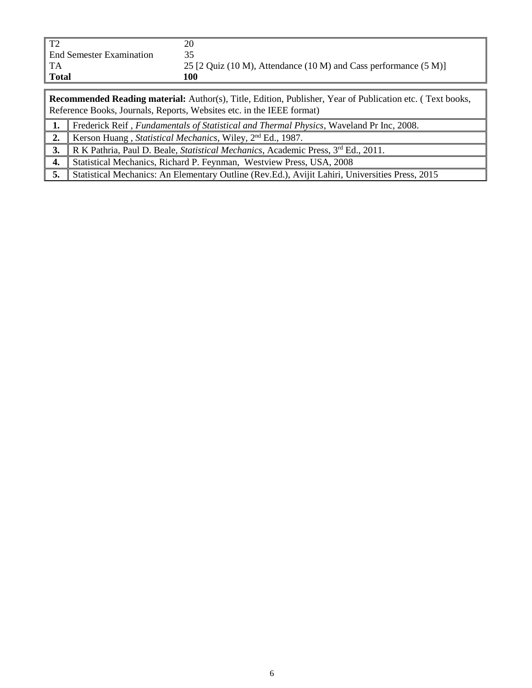| $T^{\prime}$                    | 20                                                               |
|---------------------------------|------------------------------------------------------------------|
| <b>End Semester Examination</b> |                                                                  |
| ' TA                            | 25 [2 Quiz (10 M), Attendance (10 M) and Cass performance (5 M)] |
| <b>Total</b>                    | 100                                                              |

**Recommended Reading material:** Author(s), Title, Edition, Publisher, Year of Publication etc. ( Text books, Reference Books, Journals, Reports, Websites etc. in the IEEE format)

**1.** Frederick Reif , *Fundamentals of Statistical and Thermal Physics*, Waveland Pr Inc, 2008.

**2.** Kerson Huang , *Statistical Mechanics*, Wiley, 2nd Ed., 1987.

**3.** R K Pathria, Paul D. Beale, *Statistical Mechanics*, Academic Press, 3rd Ed., 2011.

**4.** Statistical Mechanics, Richard P. Feynman, Westview Press, USA, 2008

**5.** Statistical Mechanics: An Elementary Outline (Rev.Ed.), Avijit Lahiri, Universities Press, 2015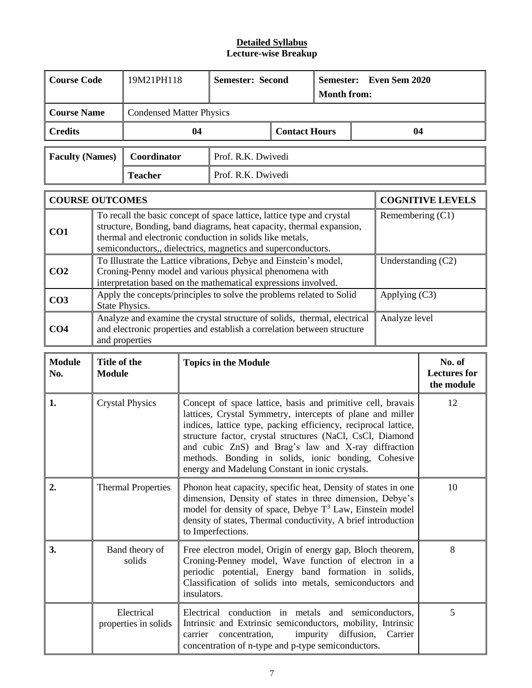| <b>Course Code</b>                                                                                                                                                                                                                                                                |                                                                                                                                                                                                                                                                                                                                                                                                                                                           | 19M21PH118                         |         | <b>Semester: Second</b><br>Semester:<br><b>Month from:</b>                                                                                                                                     |                      | Even Sem 2020 |            |                    |                                             |
|-----------------------------------------------------------------------------------------------------------------------------------------------------------------------------------------------------------------------------------------------------------------------------------|-----------------------------------------------------------------------------------------------------------------------------------------------------------------------------------------------------------------------------------------------------------------------------------------------------------------------------------------------------------------------------------------------------------------------------------------------------------|------------------------------------|---------|------------------------------------------------------------------------------------------------------------------------------------------------------------------------------------------------|----------------------|---------------|------------|--------------------|---------------------------------------------|
| <b>Course Name</b>                                                                                                                                                                                                                                                                |                                                                                                                                                                                                                                                                                                                                                                                                                                                           | <b>Condensed Matter Physics</b>    |         |                                                                                                                                                                                                |                      |               |            |                    |                                             |
| <b>Credits</b>                                                                                                                                                                                                                                                                    |                                                                                                                                                                                                                                                                                                                                                                                                                                                           |                                    | 04      |                                                                                                                                                                                                | <b>Contact Hours</b> |               |            | 04                 |                                             |
| <b>Faculty (Names)</b>                                                                                                                                                                                                                                                            |                                                                                                                                                                                                                                                                                                                                                                                                                                                           | Coordinator                        |         | Prof. R.K. Dwivedi                                                                                                                                                                             |                      |               |            |                    |                                             |
|                                                                                                                                                                                                                                                                                   |                                                                                                                                                                                                                                                                                                                                                                                                                                                           | <b>Teacher</b>                     |         | Prof. R.K. Dwivedi                                                                                                                                                                             |                      |               |            |                    |                                             |
| <b>COURSE OUTCOMES</b>                                                                                                                                                                                                                                                            |                                                                                                                                                                                                                                                                                                                                                                                                                                                           |                                    |         |                                                                                                                                                                                                |                      |               |            |                    | <b>COGNITIVE LEVELS</b>                     |
| To recall the basic concept of space lattice, lattice type and crystal<br>structure, Bonding, band diagrams, heat capacity, thermal expansion,<br>CO1<br>thermal and electronic conduction in solids like metals,<br>semiconductors,, dielectrics, magnetics and superconductors. |                                                                                                                                                                                                                                                                                                                                                                                                                                                           |                                    |         |                                                                                                                                                                                                | Remembering (C1)     |               |            |                    |                                             |
| CO <sub>2</sub>                                                                                                                                                                                                                                                                   |                                                                                                                                                                                                                                                                                                                                                                                                                                                           |                                    |         | To Illustrate the Lattice vibrations, Debye and Einstein's model,<br>Croning-Penny model and various physical phenomena with<br>interpretation based on the mathematical expressions involved. |                      |               |            | Understanding (C2) |                                             |
| CO <sub>3</sub>                                                                                                                                                                                                                                                                   |                                                                                                                                                                                                                                                                                                                                                                                                                                                           | State Physics.                     |         | Apply the concepts/principles to solve the problems related to Solid                                                                                                                           |                      |               |            | Applying (C3)      |                                             |
| CO <sub>4</sub>                                                                                                                                                                                                                                                                   |                                                                                                                                                                                                                                                                                                                                                                                                                                                           | and properties                     |         | Analyze and examine the crystal structure of solids, thermal, electrical<br>and electronic properties and establish a correlation between structure                                            |                      |               |            | Analyze level      |                                             |
| <b>Module</b><br>No.                                                                                                                                                                                                                                                              | Title of the<br><b>Module</b>                                                                                                                                                                                                                                                                                                                                                                                                                             |                                    |         | <b>Topics in the Module</b>                                                                                                                                                                    |                      |               |            |                    | No. of<br><b>Lectures</b> for<br>the module |
| 1.                                                                                                                                                                                                                                                                                | Concept of space lattice, basis and primitive cell, bravais<br><b>Crystal Physics</b><br>12<br>lattices, Crystal Symmetry, intercepts of plane and miller<br>indices, lattice type, packing efficiency, reciprocal lattice,<br>structure factor, crystal structures (NaCl, CsCl, Diamond<br>and cubic ZnS) and Brag's law and X-ray diffraction<br>methods. Bonding in solids, ionic bonding, Cohesive<br>energy and Madelung Constant in ionic crystals. |                                    |         |                                                                                                                                                                                                |                      |               |            |                    |                                             |
| 2.                                                                                                                                                                                                                                                                                | 10<br><b>Thermal Properties</b><br>Phonon heat capacity, specific heat, Density of states in one<br>dimension, Density of states in three dimension, Debye's<br>model for density of space, Debye $T^3$ Law, Einstein model<br>density of states, Thermal conductivity, A brief introduction<br>to Imperfections.                                                                                                                                         |                                    |         |                                                                                                                                                                                                |                      |               |            |                    |                                             |
| 3.                                                                                                                                                                                                                                                                                | Band theory of<br>Free electron model, Origin of energy gap, Bloch theorem,<br>Croning-Penney model, Wave function of electron in a<br>solids<br>periodic potential, Energy band formation in solids,<br>Classification of solids into metals, semiconductors and<br>insulators.                                                                                                                                                                          |                                    |         |                                                                                                                                                                                                |                      | 8             |            |                    |                                             |
|                                                                                                                                                                                                                                                                                   |                                                                                                                                                                                                                                                                                                                                                                                                                                                           | Electrical<br>properties in solids | carrier | Electrical conduction in metals and semiconductors,<br>Intrinsic and Extrinsic semiconductors, mobility, Intrinsic<br>concentration,<br>concentration of n-type and p-type semiconductors.     | impurity             |               | diffusion, | Carrier            | 5                                           |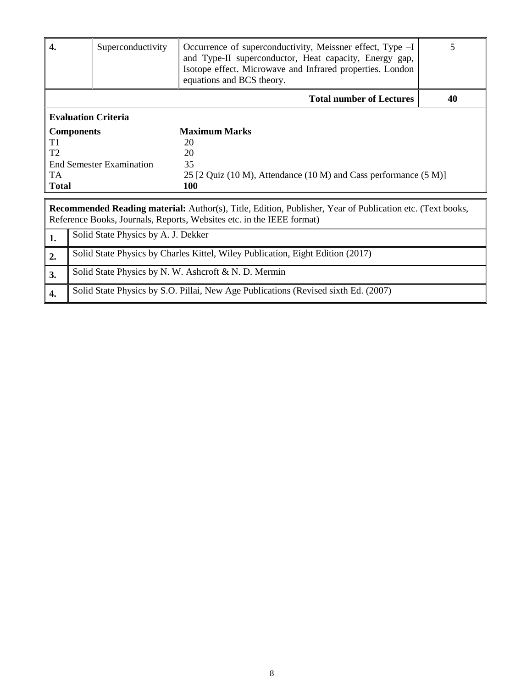| 4.                                                                                                                                                                                        | Occurrence of superconductivity, Meissner effect, Type $-I$<br>Superconductivity<br>and Type-II superconductor, Heat capacity, Energy gap,<br>Isotope effect. Microwave and Infrared properties. London<br>equations and BCS theory. |                                                                     |  |  |  |  |
|-------------------------------------------------------------------------------------------------------------------------------------------------------------------------------------------|--------------------------------------------------------------------------------------------------------------------------------------------------------------------------------------------------------------------------------------|---------------------------------------------------------------------|--|--|--|--|
| <b>Total number of Lectures</b>                                                                                                                                                           |                                                                                                                                                                                                                                      |                                                                     |  |  |  |  |
| <b>Evaluation Criteria</b>                                                                                                                                                                |                                                                                                                                                                                                                                      |                                                                     |  |  |  |  |
| <b>Components</b>                                                                                                                                                                         |                                                                                                                                                                                                                                      | <b>Maximum Marks</b>                                                |  |  |  |  |
| T1                                                                                                                                                                                        |                                                                                                                                                                                                                                      | 20                                                                  |  |  |  |  |
| T2                                                                                                                                                                                        |                                                                                                                                                                                                                                      | 20                                                                  |  |  |  |  |
|                                                                                                                                                                                           | End Semester Examination                                                                                                                                                                                                             | 35                                                                  |  |  |  |  |
| TA.                                                                                                                                                                                       |                                                                                                                                                                                                                                      | 25 [2 Quiz (10 M), Attendance (10 M) and Cass performance $(5 M)$ ] |  |  |  |  |
| <b>Total</b>                                                                                                                                                                              | 100                                                                                                                                                                                                                                  |                                                                     |  |  |  |  |
|                                                                                                                                                                                           |                                                                                                                                                                                                                                      |                                                                     |  |  |  |  |
| <b>Recommended Reading material:</b> Author(s), Title, Edition, Publisher, Year of Publication etc. (Text books,<br>Reference Books, Journals, Reports, Websites etc. in the IEEE format) |                                                                                                                                                                                                                                      |                                                                     |  |  |  |  |

|    | Solid State Physics by A. J. Dekker                                                |
|----|------------------------------------------------------------------------------------|
| 2. | Solid State Physics by Charles Kittel, Wiley Publication, Eight Edition (2017)     |
| 3. | Solid State Physics by N. W. Ashcroft & N. D. Mermin                               |
|    | Solid State Physics by S.O. Pillai, New Age Publications (Revised sixth Ed. (2007) |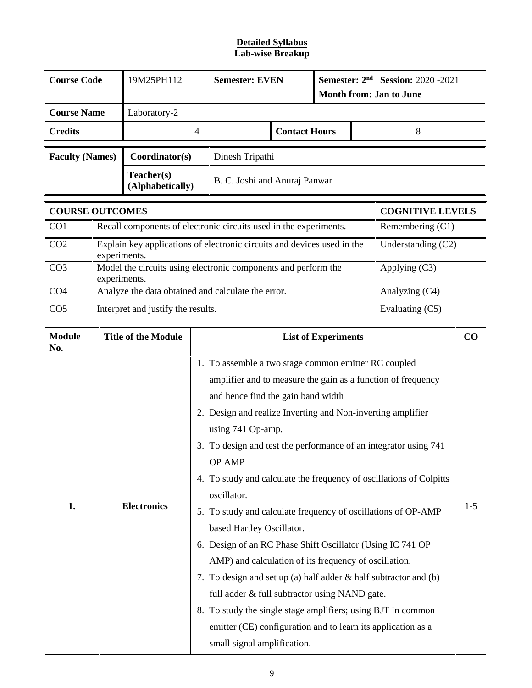# **Detailed Syllabus Lab-wise Breakup**

| <b>Course Code</b>     | 19M25PH112                     | <b>Semester: EVEN</b> |                               | <b>Semester: <math>2nd</math> Session:</b> 2020 -2021<br>Month from: Jan to June |  |  |  |
|------------------------|--------------------------------|-----------------------|-------------------------------|----------------------------------------------------------------------------------|--|--|--|
| <b>Course Name</b>     | Laboratory-2                   |                       |                               |                                                                                  |  |  |  |
| <b>Credits</b>         |                                |                       | <b>Contact Hours</b>          |                                                                                  |  |  |  |
| <b>Faculty (Names)</b> | Coordinator(s)                 | Dinesh Tripathi       |                               |                                                                                  |  |  |  |
|                        | Teacher(s)<br>(Alphabetically) |                       | B. C. Joshi and Anuraj Panwar |                                                                                  |  |  |  |
|                        |                                |                       |                               |                                                                                  |  |  |  |

|                 | <b>COURSE OUTCOMES</b>                                                                  | <b>COGNITIVE LEVELS</b> |
|-----------------|-----------------------------------------------------------------------------------------|-------------------------|
| CO1             | Recall components of electronic circuits used in the experiments.                       | Remembering $(C1)$      |
| CO <sub>2</sub> | Explain key applications of electronic circuits and devices used in the<br>experiments. | Understanding $(C2)$    |
| CO <sub>3</sub> | Model the circuits using electronic components and perform the<br>experiments.          | Applying $(C3)$         |
| CO <sub>4</sub> | Analyze the data obtained and calculate the error.                                      | Analyzing (C4)          |
| CO <sub>5</sub> | Interpret and justify the results.                                                      | Evaluating (C5)         |

| <b>Module</b><br>No. | <b>Title of the Module</b> | <b>List of Experiments</b>                                                                                                                                                                                                                                                                                                                                                                                                                                                                                                                                                                                                                                                                                                                                                                                                                                                                                                  | CO    |
|----------------------|----------------------------|-----------------------------------------------------------------------------------------------------------------------------------------------------------------------------------------------------------------------------------------------------------------------------------------------------------------------------------------------------------------------------------------------------------------------------------------------------------------------------------------------------------------------------------------------------------------------------------------------------------------------------------------------------------------------------------------------------------------------------------------------------------------------------------------------------------------------------------------------------------------------------------------------------------------------------|-------|
| 1.                   | <b>Electronics</b>         | 1. To assemble a two stage common emitter RC coupled<br>amplifier and to measure the gain as a function of frequency<br>and hence find the gain band width<br>2. Design and realize Inverting and Non-inverting amplifier<br>using 741 Op-amp.<br>3. To design and test the performance of an integrator using 741<br>OP AMP<br>4. To study and calculate the frequency of oscillations of Colpitts<br>oscillator.<br>5. To study and calculate frequency of oscillations of OP-AMP<br>based Hartley Oscillator.<br>6. Design of an RC Phase Shift Oscillator (Using IC 741 OP<br>AMP) and calculation of its frequency of oscillation.<br>7. To design and set up (a) half adder & half subtractor and (b)<br>full adder & full subtractor using NAND gate.<br>8. To study the single stage amplifiers; using BJT in common<br>emitter (CE) configuration and to learn its application as a<br>small signal amplification. | $1-5$ |